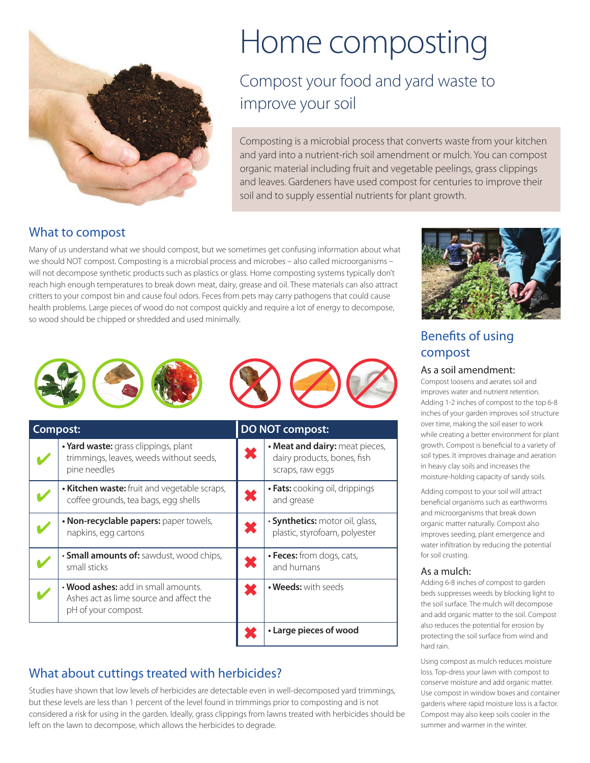

# Home composting

# Compost your food and yard waste to improve your soil

Composting is a microbial process that converts waste from your kitchen and yard into a nutrient-rich soil amendment or mulch. You can compost organic material including fruit and vegetable peelings, grass clippings and leaves. Gardeners have used compost for centuries to improve their soil and to supply essential nutrients for plant growth.

# What to compost

Many of us understand what we should compost, but we sometimes get confusing information about what we should NOT compost. Composting is a microbial process and microbes – also called microorganisms – will not decompose synthetic products such as plastics or glass. Home composting systems typically don't reach high enough temperatures to break down meat, dairy, grease and oil. These materials can also attract critters to your compost bin and cause foul odors. Feces from pets may carry pathogens that could cause health problems. Large pieces of wood do not compost quickly and require a lot of energy to decompose, so wood should be chipped or shredded and used minimally.



| Compost: |                                                                                                       | <b>DO NOT compost:</b> |                                                                                   |
|----------|-------------------------------------------------------------------------------------------------------|------------------------|-----------------------------------------------------------------------------------|
|          | • Yard waste: grass clippings, plant<br>trimmings, leaves, weeds without seeds,<br>pine needles       | Ж                      | • Meat and dairy: meat pieces,<br>dairy products, bones, fish<br>scraps, raw eggs |
|          | • Kitchen waste: fruit and vegetable scraps,<br>coffee grounds, tea bags, egg shells                  |                        | • Fats: cooking oil, drippings<br>and grease                                      |
|          | • Non-recyclable papers: paper towels,<br>napkins, egg cartons                                        |                        | · Synthetics: motor oil, glass,<br>plastic, styrofoam, polyester                  |
|          | · Small amounts of: sawdust, wood chips,<br>small sticks                                              |                        | • Feces: from dogs, cats,<br>and humans                                           |
|          | • Wood ashes: add in small amounts.<br>Ashes act as lime source and affect the<br>pH of your compost. |                        | • Weeds: with seeds                                                               |
|          |                                                                                                       |                        | • Large pieces of wood                                                            |

# What about cuttings treated with herbicides?

Studies have shown that low levels of herbicides are detectable even in well-decomposed yard trimmings, but these levels are less than 1 percent of the level found in trimmings prior to composting and is not considered a risk for using in the garden. Ideally, grass clippings from lawns treated with herbicides should be left on the lawn to decompose, which allows the herbicides to degrade.



# Benefits of using compost

#### As a soil amendment:

Compost loosens and aerates soil and improves water and nutrient retention. Adding 1-2 inches of compost to the top 6-8 inches of your garden improves soil structure over time, making the soil easer to work while creating a better environment for plant growth. Compost is beneficial to a variety of soil types. It improves drainage and aeration in heavy clay soils and increases the moisture-holding capacity of sandy soils.

Adding compost to your soil will attract beneficial organisms such as earthworms and microorganisms that break down organic matter naturally. Compost also improves seeding, plant emergence and water infiltration by reducing the potential for soil crusting.

#### As a mulch:

Adding 6-8 inches of compost to garden beds suppresses weeds by blocking light to the soil surface. The mulch will decompose and add organic matter to the soil. Compost also reduces the potential for erosion by protecting the soil surface from wind and hard rain.

Using compost as mulch reduces moisture loss. Top-dress your lawn with compost to conserve moisture and add organic matter. Use compost in window boxes and container gardens where rapid moisture loss is a factor. Compost may also keep soils cooler in the summer and warmer in the winter.